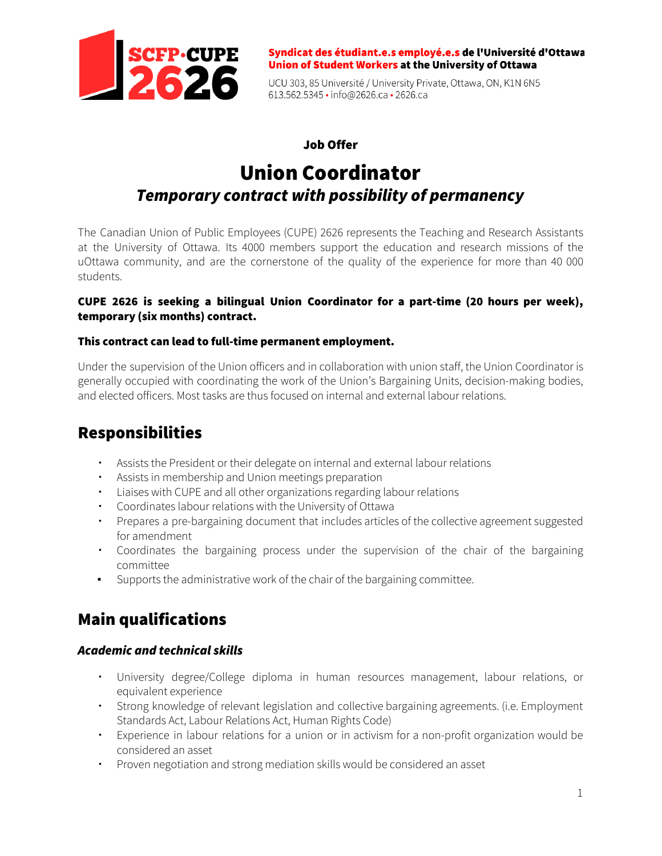

Syndicat des étudiant.e.s employé.e.s de l'Université d'Ottawa Union of Student Workers at the University of Ottawa

UCU 303, 85 Université / University Private, Ottawa, ON, K1N 6N5 613.562.5345 • info@2626.ca • 2626.ca

### Job Offer

# Union Coordinator *Temporary contract with possibility of permanency*

The Canadian Union of Public Employees (CUPE) 2626 represents the Teaching and Research Assistants at the University of Ottawa. Its 4000 members support the education and research missions of the uOttawa community, and are the cornerstone of the quality of the experience for more than 40 000 students.

#### CUPE 2626 is seeking a bilingual Union Coordinator for a part-time (20 hours per week), temporary (six months) contract.

#### This contract can lead to full-time permanent employment.

Under the supervision of the Union officers and in collaboration with union staff, the Union Coordinator is generally occupied with coordinating the work of the Union's Bargaining Units, decision-making bodies, and elected officers. Most tasks are thus focused on internal and external labour relations.

# Responsibilities

- Assists the President or their delegate on internal and external labour relations
- Assists in membership and Union meetings preparation
- Liaises with CUPE and all other organizations regarding labour relations
- Coordinates labour relations with the University of Ottawa
- Prepares a pre-bargaining document that includes articles of the collective agreement suggested for amendment
- Coordinates the bargaining process under the supervision of the chair of the bargaining committee
- Supports the administrative work of the chair of the bargaining committee.

# Main qualifications

### *Academic and technical skills*

- University degree/College diploma in human resources management, labour relations, or equivalent experience
- Strong knowledge of relevant legislation and collective bargaining agreements. (i.e. Employment Standards Act, Labour Relations Act, Human Rights Code)
- Experience in labour relations for a union or in activism for a non-profit organization would be considered an asset
- Proven negotiation and strong mediation skills would be considered an asset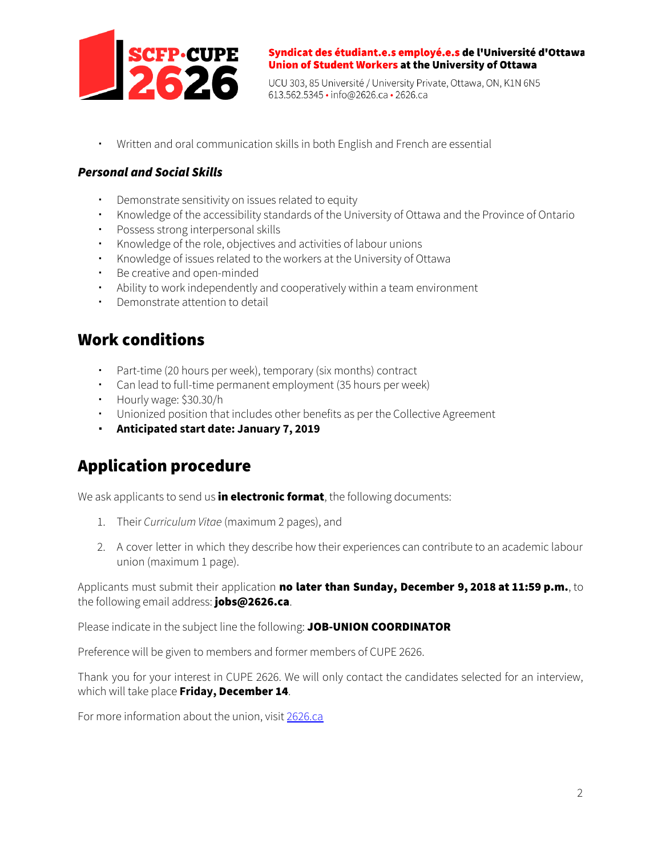

Syndicat des étudiant.e.s employé.e.s de l'Université d'Ottawa Union of Student Workers at the University of Ottawa

UCU 303, 85 Université / University Private, Ottawa, ON, K1N 6N5 613.562.5345 • info@2626.ca • 2626.ca

▪ Written and oral communication skills in both English and French are essential

### *Personal and Social Skills*

- Demonstrate sensitivity on issues related to equity
- Knowledge of the accessibility standards of the University of Ottawa and the Province of Ontario
- Possess strong interpersonal skills
- Knowledge of the role, objectives and activities of labour unions
- Knowledge of issues related to the workers at the University of Ottawa
- Be creative and open-minded
- Ability to work independently and cooperatively within a team environment
- Demonstrate attention to detail

### Work conditions

- Part-time (20 hours per week), temporary (six months) contract
- Can lead to full-time permanent employment (35 hours per week)
- Hourly wage: \$30.30/h
- Unionized position that includes other benefits as per the Collective Agreement
- **Anticipated start date: January 7, 2019**

# Application procedure

We ask applicants to send us in electronic format, the following documents:

- 1. Their *Curriculum Vitae* (maximum 2 pages), and
- 2. A cover letter in which they describe how their experiences can contribute to an academic labour union (maximum 1 page).

Applicants must submit their application no later than Sunday, December 9, 2018 at 11:59 p.m., to the following email address: jobs@2626.ca.

Please indicate in the subject line the following: JOB-UNION COORDINATOR

Preference will be given to members and former members of CUPE 2626.

Thank you for your interest in CUPE 2626. We will only contact the candidates selected for an interview, which will take place **Friday,** December 14.

For more information about the union, visit [2626.ca](http://www.2626.ca/)